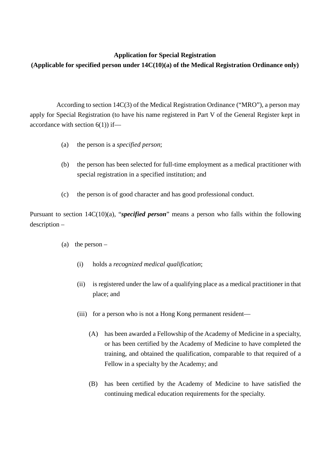## **Application for Special Registration**

## **(Applicable for specified person under 14C(10)(a) of the Medical Registration Ordinance only)**

According to section 14C(3) of the Medical Registration Ordinance ("MRO"), a person may apply for Special Registration (to have his name registered in Part V of the General Register kept in accordance with section  $6(1)$ ) if—

- (a) the person is a *specified person*;
- (b) the person has been selected for full-time employment as a medical practitioner with special registration in a specified institution; and
- (c) the person is of good character and has good professional conduct.

Pursuant to section 14C(10)(a), "*specified person*" means a person who falls within the following description –

- (a) the person
	- (i) holds a *recognized medical qualification*;
	- (ii) is registered under the law of a qualifying place as a medical practitioner in that place; and
	- (iii) for a person who is not a Hong Kong permanent resident—
		- (A) has been awarded a Fellowship of the Academy of Medicine in a specialty, or has been certified by the Academy of Medicine to have completed the training, and obtained the qualification, comparable to that required of a Fellow in a specialty by the Academy; and
		- (B) has been certified by the Academy of Medicine to have satisfied the continuing medical education requirements for the specialty.